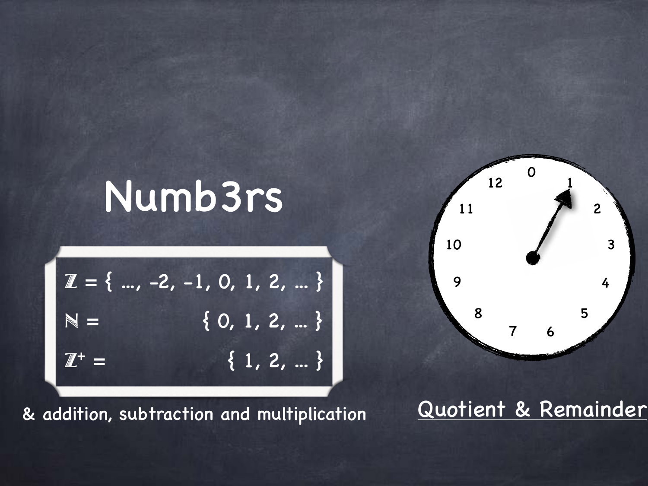## Numb3rs

$$
\mathbb{Z} = \{ \dots, -2, -1, 0, 1, 2, \dots \}
$$

$$
\mathbb{N} = \{ 0, 1, 2, \dots \}
$$

$$
\mathbb{Z}^{+} = \{ 1, 2, \dots \}
$$

& addition, subtraction and multiplication



#### Quotient & Remainder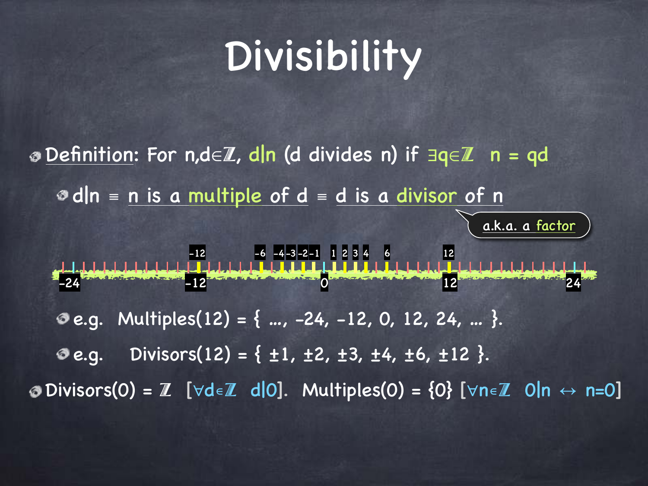# Divisibility

Definition: For n,d∈Z, d|n (d divides n) if ∃q∈Z n = qd d|n ≡ n is a multiple of d ≡ d is a divisor of n **e.g.** Multiples(12) = { ..., -24, -12, 0, 12, 24, ... }. **O** e.g. Divisors(12) = {  $\pm 1$ ,  $\pm 2$ ,  $\pm 3$ ,  $\pm 4$ ,  $\pm 6$ ,  $\pm 12$  }. **O** Divisors(0) =  $\mathbb{Z}$  [∀d∈ $\mathbb{Z}$  d|0]. Multiples(0) = {0} [∀n∈ $\mathbb{Z}$  0|n ↔ n=0]  $-24$   $-12$   $-12$   $-12$   $-12$   $-12$   $-12$   $-12$   $-12$   $-12$   $-12$   $-12$   $-12$   $-12$   $-12$   $-12$   $-12$   $-12$   $-12$   $-12$   $-12$   $-12$   $-12$   $-12$   $-12$   $-12$   $-12$   $-12$   $-12$   $-12$   $-12$   $-12$   $-12$   $-12$   $-12$   $-12$   $-12$  $12 3 4 6$  12 a.k.a. a factor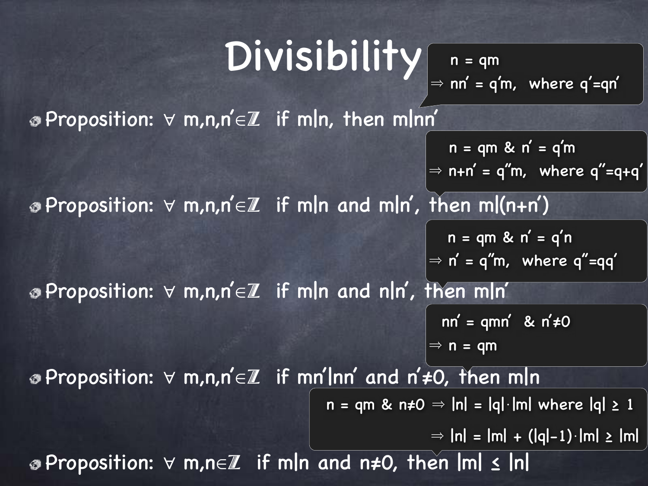# Divisibility

 $n = qm$  $\Rightarrow$  nn' = q'm, where q'=qn'

Proposition: ∀ m,n,n'∈Z if m|n, then m|nn'

 $n = qm$  &  $n' = q'm$  $\Rightarrow$  n+n' = q"m, where q"=q+q'

Proposition: ∀ m,n,n'∈Z if m|n and m|n', then m|(n+n')

 $n = qm \& n' = q'n$  $\Rightarrow$  n' = q"m, where q"=qq'

Proposition: ∀ m,n,n'∈Z if m|n and n|n', then m|n'

 $nn' = qmn'$  &  $n' \neq 0$ 

 $\Rightarrow$  n = qm

Proposition: ∀ m,n,n'∈Z if mn'|nn' and n'≠0, then m|n

 $n = qm$  &  $n \neq 0 \Rightarrow |n| = |q| \cdot |m|$  where  $|q| \geq 1$ 

 $\Rightarrow$   $\ln$  =  $\ln$  + (|q|-1)⋅|m| ≥  $\ln$ 

Proposition: ∀ m,n∈Z if m|n and n≠0, then |m| ≤ |n|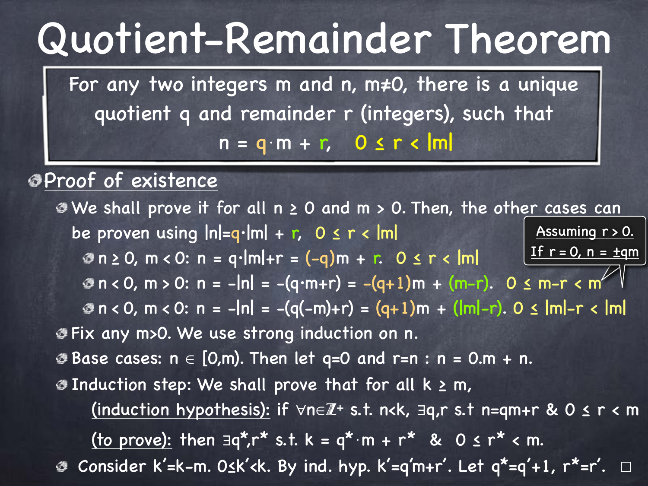### Quotient-Remainder Theorem

For any two integers m and n, m≠0, there is a unique quotient q and remainder r (integers), such that  $n = q \cdot m + r$ ,  $0 \le r < |m|$ 

Proof of existence

We shall prove it for all n ≥ 0 and m > 0. Then, the other cases can be proven using  $|n|=q·|m| + r$ ,  $0 \le r < |m|$ Assuming r > 0. If  $r = 0$ ,  $n = \pm qm$  $\Phi$  n ≥ 0, m < 0: n = q·|m|+r = (-q)m + r. 0 ≤ r < |m|  $\Phi$  n < 0, m > 0: n = -|n| = -(q·m+r) = -(q+1)m + (m-r). 0  $\leq$  m-r  $\lt m$ n < 0, m < 0: n = -|n| = -(q(-m)+r) = (q+1)m + (|m|-r). 0 ≤ |m|-r < |m| Fix any m>0. We use strong induction on n.  $\bullet$  **Base cases:**  $n \in [0,m)$ . Then let q=0 and r=n : n = 0.m + n.  $\bullet$  Induction step: We shall prove that for all  $k \ge m$ , (induction hypothesis): if ∀n∈Z**<sup>+</sup>** s.t. n<k, ∃q,r s.t n=qm+r & 0 ≤ r < m (to prove): then  $\exists q^* r^* s.t. k = q^* \cdot m + r^* \& 0 \le r^* < m$ . Consider k'=k-m. 0≤k'<k. By ind. hyp. k'=q'm+r'. Let q\*=q'+1, r\*=r'. □ ু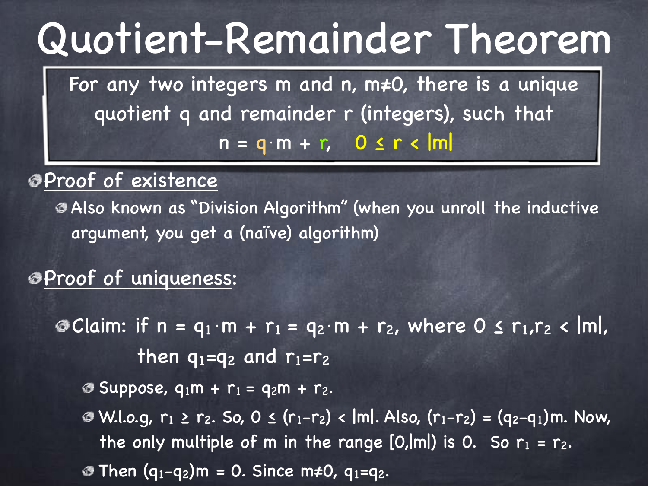### Quotient-Remainder Theorem

For any two integers m and n, m≠0, there is a unique quotient q and remainder r (integers), such that  $n = q \cdot m + r$ , 0 ≤ r < |m|

Proof of existence

Also known as "Division Algorithm" (when you unroll the inductive argument, you get a (naïve) algorithm)

#### Proof of uniqueness:

**© Claim:** if n = q<sub>1</sub>⋅m + r<sub>1</sub> = q<sub>2</sub>⋅m + r<sub>2</sub>, where 0 ≤ r<sub>1</sub>,r<sub>2</sub> < |m|, then  $q_1=q_2$  and  $r_1=r_2$ 

 $\Phi$  **Suppose,**  $q_1m + r_1 = q_2m + r_2$ **.** 

 $\bullet$  W.l.o.g,  $r_1 \ge r_2$ . So, 0 ≤ ( $r_1-r_2$ ) < |m|. Also, ( $r_1-r_2$ ) = ( $q_2-q_1$ )m. Now, the only multiple of m in the range  $[0,|m|)$  is 0. So  $r_1 = r_2$ . **Then**  $(q_1-q_2)$ **m = 0. Since m≠0,**  $q_1=q_2$ **.**